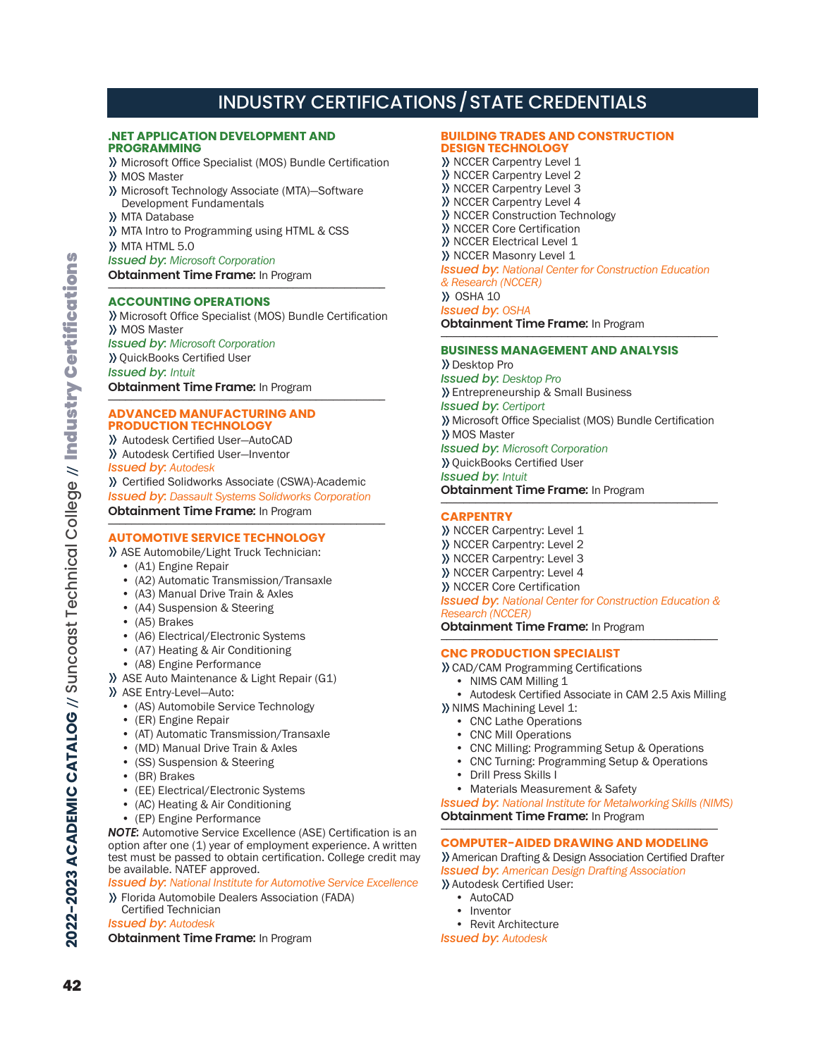# INDUSTRY CERTIFICATIONS/STATE CREDENTIALS

## **.NET APPLICATION DEVELOPMENT AND PROGRAMMING**

- >> Microsoft Office Specialist (MOS) Bundle Certification >> MOS Master
- >> Microsoft Technology Associate (MTA)―Software Development Fundamentals
- >> MTA Database
- >> MTA Intro to Programming using HTML & CSS
- >> MTA HTML 5.0
- *Issued by: Microsoft Corporation*
- **Obtainment Time Frame:** In Program

## **ACCOUNTING OPERATIONS**

>> Microsoft Office Specialist (MOS) Bundle Certification >> MOS Master *Issued by: Microsoft Corporation* >> QuickBooks Certified User *Issued by: Intuit*

**Obtainment Time Frame:** In Program

#### **ADVANCED MANUFACTURING AND PRODUCTION TECHNOLOGY**

>> Autodesk Certified User—AutoCAD

>> Autodesk Certified User—Inventor

*Issued by: Autodesk*

>> Certified Solidworks Associate (CSWA)-Academic *Issued by: Dassault Systems Solidworks Corporation* **Obtainment Time Frame:** In Program

## **AUTOMOTIVE SERVICE TECHNOLOGY**

- >> ASE Automobile/Light Truck Technician:
	- (A1) Engine Repair
	- (A2) Automatic Transmission/Transaxle
	- (A3) Manual Drive Train & Axles
	- (A4) Suspension & Steering
	- (A5) Brakes
	- (A6) Electrical/Electronic Systems
	- (A7) Heating & Air Conditioning
- (A8) Engine Performance
- >> ASE Auto Maintenance & Light Repair (G1)

>> ASE Entry-Level—Auto:

- (AS) Automobile Service Technology
- (ER) Engine Repair
- (AT) Automatic Transmission/Transaxle
- (MD) Manual Drive Train & Axles
- (SS) Suspension & Steering
- (BR) Brakes
- (EE) Electrical/Electronic Systems
- (AC) Heating & Air Conditioning
- (EP) Engine Performance

*NOTE:* Automotive Service Excellence (ASE) Certification is an option after one (1) year of employment experience. A written test must be passed to obtain certification. College credit may be available. NATEF approved.

*Issued by: National Institute for Automotive Service Excellence*

>> Florida Automobile Dealers Association (FADA) Certified Technician

*Issued by: Autodesk*

**Obtainment Time Frame***:* In Program

## **BUILDING TRADES AND CONSTRUCTION DESIGN TECHNOLOGY**

>> NCCER Carpentry Level 1 >> NCCER Carpentry Level 2 >> NCCER Carpentry Level 3 >> NCCER Carpentry Level 4 >> NCCER Construction Technology >> NCCER Core Certification >> NCCER Electrical Level 1 >> NCCER Masonry Level 1 *Issued by: National Center for Construction Education & Research (NCCER)* >> OSHA 10 *Issued by: OSHA*

**Obtainment Time Frame:** In Program

## **BUSINESS MANAGEMENT AND ANALYSIS**

>> Desktop Pro *Issued by: Desktop Pro* >>Entrepreneurship & Small Business *Issued by: Certiport* >> Microsoft Office Specialist (MOS) Bundle Certification >> MOS Master *Issued by: Microsoft Corporation* >> QuickBooks Certified User *Issued by: Intuit* **Obtainment Time Frame:** In Program

## **CARPENTRY**

- >> NCCER Carpentry: Level 1
- >> NCCER Carpentry: Level 2
- >> NCCER Carpentry: Level 3
- >> NCCER Carpentry: Level 4
- >> NCCER Core Certification

#### *Issued by: National Center for Construction Education & Research (NCCER)*

**Obtainment Time Frame:** In Program

## **CNC PRODUCTION SPECIALIST**

>>CAD/CAM Programming Certifications

- NIMS CAM Milling 1
- Autodesk Certified Associate in CAM 2.5 Axis Milling

>> NIMS Machining Level 1:

- CNC Lathe Operations
- CNC Mill Operations
- CNC Milling: Programming Setup & Operations
- CNC Turning: Programming Setup & Operations
- Drill Press Skills I
- Materials Measurement & Safety

*Issued by: National Institute for Metalworking Skills (NIMS)* **Obtainment Time Frame:** In Program

## **COMPUTER-AIDED DRAWING AND MODELING**

>>American Drafting & Design Association Certified Drafter *Issued by: American Design Drafting Association*

>>Autodesk Certified User:

- AutoCAD
- Inventor
- Revit Architecture
- *Issued by: Autodesk*

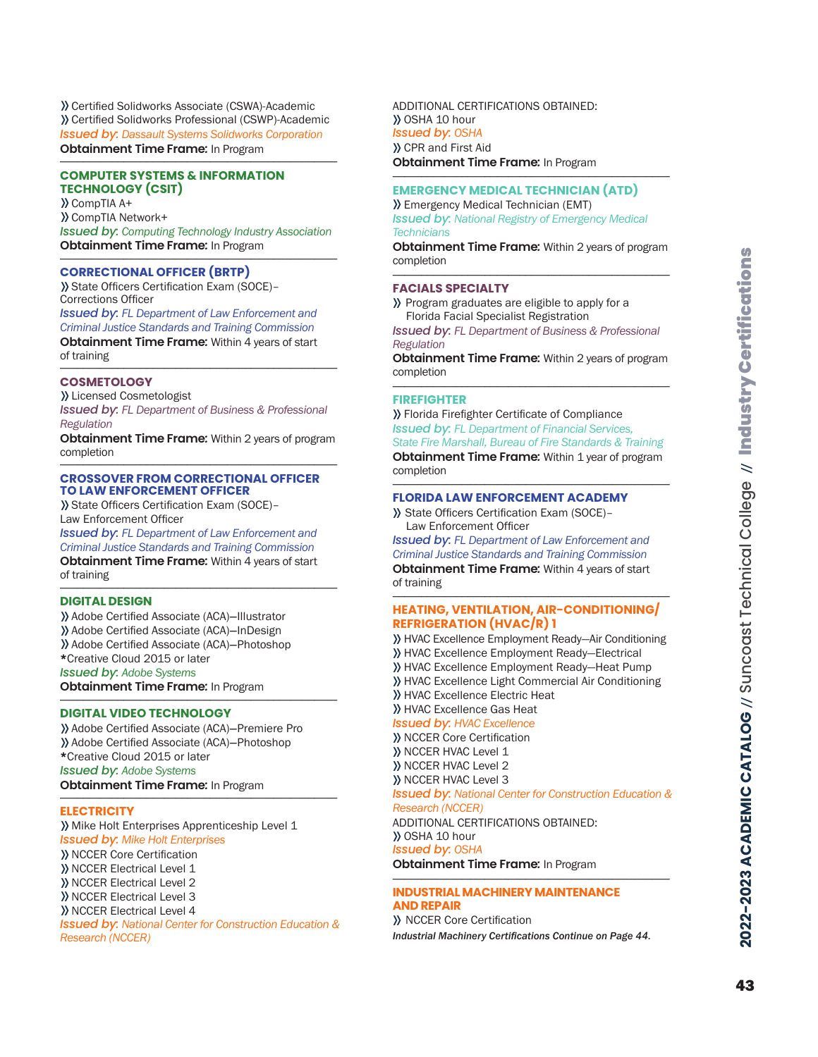>>Certified Solidworks Associate (CSWA)-Academic >>Certified Solidworks Professional (CSWP)-Academic *Issued by: Dassault Systems Solidworks Corporation* **Obtainment Time Frame:** In Program

## **COMPUTER SYSTEMS & INFORMATION TECHNOLOGY (CSIT)**

>>CompTIA A+ >>CompTIA Network+ *Issued by: Computing Technology Industry Association* **Obtainment Time Frame:** In Program

## **CORRECTIONAL OFFICER (BRTP)**

>>State Officers Certification Exam (SOCE)– Corrections Officer *Issued by: FL Department of Law Enforcement and Criminal Justice Standards and Training Commission* **Obtainment Time Frame***:* Within 4 years of start of training

## **COSMETOLOGY**

>>Licensed Cosmetologist *Issued by: FL Department of Business & Professional Regulation*

\_\_\_\_\_\_\_\_\_\_\_\_\_\_\_\_\_\_\_\_\_\_\_\_\_\_\_\_\_\_\_\_\_\_\_\_\_\_\_\_\_\_\_\_\_\_\_\_

**Obtainment Time Frame***:* Within 2 years of program completion \_\_\_\_\_\_\_\_\_\_\_\_\_\_\_\_\_\_\_\_\_\_\_\_\_\_\_\_\_\_\_\_\_\_\_\_\_\_\_\_\_\_\_\_\_\_\_\_

#### **CROSSOVER FROM CORRECTIONAL OFFICER TO LAW ENFORCEMENT OFFICER**

>>State Officers Certification Exam (SOCE)– Law Enforcement Officer

*Issued by: FL Department of Law Enforcement and Criminal Justice Standards and Training Commission* **Obtainment Time Frame***:* Within 4 years of start of training \_\_\_\_\_\_\_\_\_\_\_\_\_\_\_\_\_\_\_\_\_\_\_\_\_\_\_\_\_\_\_\_\_\_\_\_\_\_\_\_\_\_\_\_\_\_\_\_

## **DIGITAL DESIGN**

>>Adobe Certified Associate (ACA)―Illustrator >>Adobe Certified Associate (ACA)―InDesign >>Adobe Certified Associate (ACA)―Photoshop \*Creative Cloud 2015 or later *Issued by: Adobe Systems* **Obtainment Time Frame:** In Program

## **DIGITAL VIDEO TECHNOLOGY**

>>Adobe Certified Associate (ACA)―Premiere Pro >>Adobe Certified Associate (ACA)―Photoshop \*Creative Cloud 2015 or later *Issued by: Adobe Systems* **Obtainment Time Frame:** In Program

#### **ELECTRICITY**

>> Mike Holt Enterprises Apprenticeship Level 1 *Issued by: Mike Holt Enterprises*

>> NCCER Core Certification >> NCCER Electrical Level 1 >> NCCER Electrical Level 2 >> NCCER Electrical Level 3 >> NCCER Electrical Level 4 *Issued by: National Center for Construction Education & Research (NCCER)*

ADDITIONAL CERTIFICATIONS OBTAINED: >> OSHA 10 hour *Issued by: OSHA* >>CPR and First Aid **Obtainment Time Frame:** In Program

## **EMERGENCY MEDICAL TECHNICIAN (ATD)**

>>Emergency Medical Technician (EMT) *Issued by: National Registry of Emergency Medical Technicians*

**Obtainment Time Frame***:* Within 2 years of program completion \_\_\_\_\_\_\_\_\_\_\_\_\_\_\_\_\_\_\_\_\_\_\_\_\_\_\_\_\_\_\_\_\_\_\_\_\_\_\_\_\_\_\_\_\_\_\_\_

#### **FACIALS SPECIALTY**

>> Program graduates are eligible to apply for a Florida Facial Specialist Registration

*Issued by: FL Department of Business & Professional Regulation*

**Obtainment Time Frame***:* Within 2 years of program completion \_\_\_\_\_\_\_\_\_\_\_\_\_\_\_\_\_\_\_\_\_\_\_\_\_\_\_\_\_\_\_\_\_\_\_\_\_\_\_\_\_\_\_\_\_\_\_\_

## **FIREFIGHTER**

>>Florida Firefighter Certificate of Compliance *Issued by: FL Department of Financial Services, State Fire Marshall, Bureau of Fire Standards & Training* **Obtainment Time Frame:** Within 1 year of program completion \_\_\_\_\_\_\_\_\_\_\_\_\_\_\_\_\_\_\_\_\_\_\_\_\_\_\_\_\_\_\_\_\_\_\_\_\_\_\_\_\_\_\_\_\_\_\_\_

## **FLORIDA LAW ENFORCEMENT ACADEMY**

>> State Officers Certification Exam (SOCE)– Law Enforcement Officer

*Issued by: FL Department of Law Enforcement and Criminal Justice Standards and Training Commission* **Obtainment Time Frame***:* Within 4 years of start of training \_\_\_\_\_\_\_\_\_\_\_\_\_\_\_\_\_\_\_\_\_\_\_\_\_\_\_\_\_\_\_\_\_\_\_\_\_\_\_\_\_\_\_\_\_\_\_\_

## **HEATING, VENTILATION, AIR-CONDITIONING/ REFRIGERATION (HVAC/R) 1**

>> HVAC Excellence Employment Ready—Air Conditioning >> HVAC Excellence Employment Ready—Electrical >> HVAC Excellence Employment Ready—Heat Pump >> HVAC Excellence Light Commercial Air Conditioning >> HVAC Excellence Electric Heat >> HVAC Excellence Gas Heat *Issued by: HVAC Excellence* >> NCCER Core Certification >> NCCER HVAC Level 1 >> NCCER HVAC Level 2 >> NCCER HVAC Level 3 *Issued by: National Center for Construction Education &* 

#### *Research (NCCER)*

ADDITIONAL CERTIFICATIONS OBTAINED: >> OSHA 10 hour *Issued by: OSHA*

**Obtainment Time Frame:** In Program

#### **INDUSTRIAL MACHINERY MAINTENANCE AND REPAIR**

>> NCCER Core Certification *Industrial Machinery Certifications Continue on Page 44.*